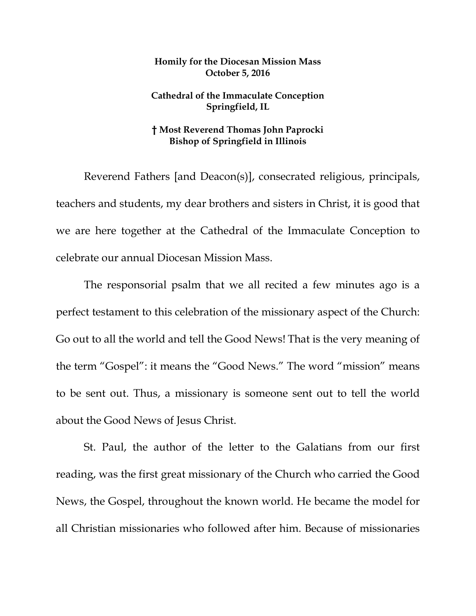## **Homily for the Diocesan Mission Mass October 5, 2016**

## **Cathedral of the Immaculate Conception Springfield, IL**

## **† Most Reverend Thomas John Paprocki Bishop of Springfield in Illinois**

Reverend Fathers [and Deacon(s)], consecrated religious, principals, teachers and students, my dear brothers and sisters in Christ, it is good that we are here together at the Cathedral of the Immaculate Conception to celebrate our annual Diocesan Mission Mass.

The responsorial psalm that we all recited a few minutes ago is a perfect testament to this celebration of the missionary aspect of the Church: Go out to all the world and tell the Good News! That is the very meaning of the term "Gospel": it means the "Good News." The word "mission" means to be sent out. Thus, a missionary is someone sent out to tell the world about the Good News of Jesus Christ.

St. Paul, the author of the letter to the Galatians from our first reading, was the first great missionary of the Church who carried the Good News, the Gospel, throughout the known world. He became the model for all Christian missionaries who followed after him. Because of missionaries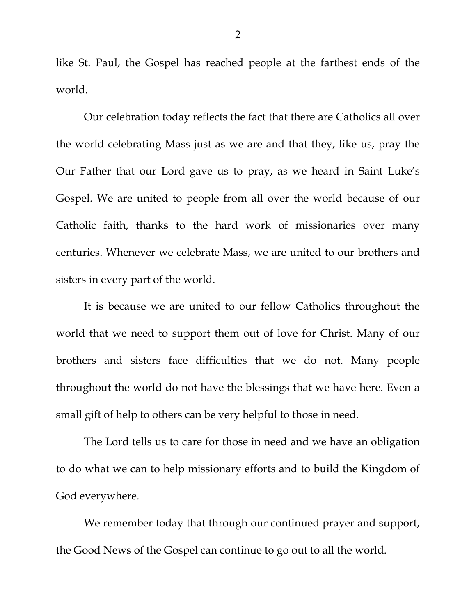like St. Paul, the Gospel has reached people at the farthest ends of the world.

Our celebration today reflects the fact that there are Catholics all over the world celebrating Mass just as we are and that they, like us, pray the Our Father that our Lord gave us to pray, as we heard in Saint Luke's Gospel. We are united to people from all over the world because of our Catholic faith, thanks to the hard work of missionaries over many centuries. Whenever we celebrate Mass, we are united to our brothers and sisters in every part of the world.

It is because we are united to our fellow Catholics throughout the world that we need to support them out of love for Christ. Many of our brothers and sisters face difficulties that we do not. Many people throughout the world do not have the blessings that we have here. Even a small gift of help to others can be very helpful to those in need.

The Lord tells us to care for those in need and we have an obligation to do what we can to help missionary efforts and to build the Kingdom of God everywhere.

We remember today that through our continued prayer and support, the Good News of the Gospel can continue to go out to all the world.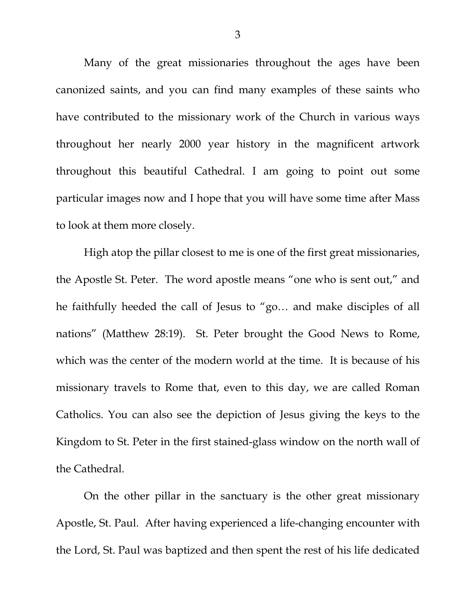Many of the great missionaries throughout the ages have been canonized saints, and you can find many examples of these saints who have contributed to the missionary work of the Church in various ways throughout her nearly 2000 year history in the magnificent artwork throughout this beautiful Cathedral. I am going to point out some particular images now and I hope that you will have some time after Mass to look at them more closely.

High atop the pillar closest to me is one of the first great missionaries, the Apostle St. Peter. The word apostle means "one who is sent out," and he faithfully heeded the call of Jesus to "go… and make disciples of all nations" (Matthew 28:19). St. Peter brought the Good News to Rome, which was the center of the modern world at the time. It is because of his missionary travels to Rome that, even to this day, we are called Roman Catholics. You can also see the depiction of Jesus giving the keys to the Kingdom to St. Peter in the first stained-glass window on the north wall of the Cathedral.

On the other pillar in the sanctuary is the other great missionary Apostle, St. Paul. After having experienced a life-changing encounter with the Lord, St. Paul was baptized and then spent the rest of his life dedicated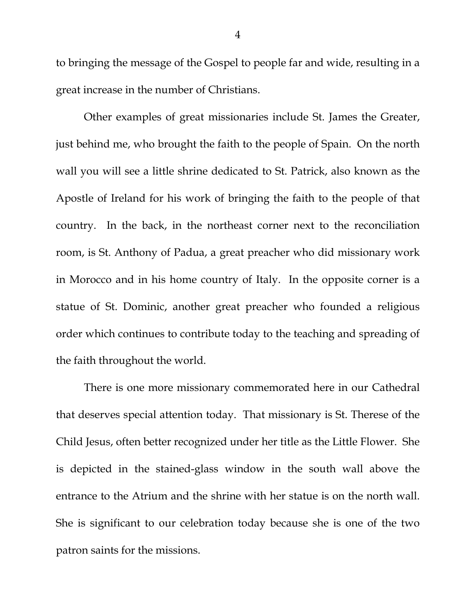to bringing the message of the Gospel to people far and wide, resulting in a great increase in the number of Christians.

Other examples of great missionaries include St. James the Greater, just behind me, who brought the faith to the people of Spain. On the north wall you will see a little shrine dedicated to St. Patrick, also known as the Apostle of Ireland for his work of bringing the faith to the people of that country. In the back, in the northeast corner next to the reconciliation room, is St. Anthony of Padua, a great preacher who did missionary work in Morocco and in his home country of Italy. In the opposite corner is a statue of St. Dominic, another great preacher who founded a religious order which continues to contribute today to the teaching and spreading of the faith throughout the world.

There is one more missionary commemorated here in our Cathedral that deserves special attention today. That missionary is St. Therese of the Child Jesus, often better recognized under her title as the Little Flower. She is depicted in the stained-glass window in the south wall above the entrance to the Atrium and the shrine with her statue is on the north wall. She is significant to our celebration today because she is one of the two patron saints for the missions.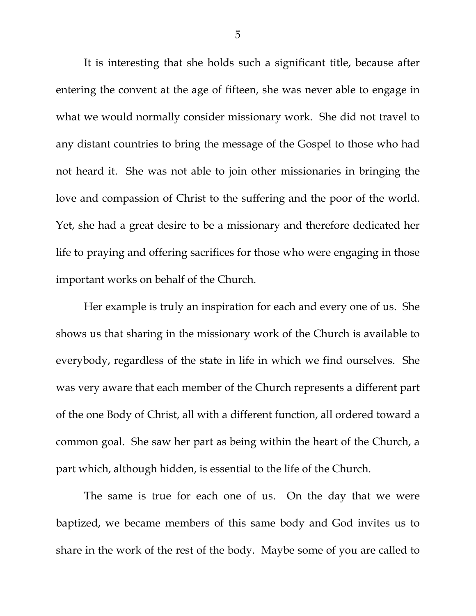It is interesting that she holds such a significant title, because after entering the convent at the age of fifteen, she was never able to engage in what we would normally consider missionary work. She did not travel to any distant countries to bring the message of the Gospel to those who had not heard it. She was not able to join other missionaries in bringing the love and compassion of Christ to the suffering and the poor of the world. Yet, she had a great desire to be a missionary and therefore dedicated her life to praying and offering sacrifices for those who were engaging in those important works on behalf of the Church.

Her example is truly an inspiration for each and every one of us. She shows us that sharing in the missionary work of the Church is available to everybody, regardless of the state in life in which we find ourselves. She was very aware that each member of the Church represents a different part of the one Body of Christ, all with a different function, all ordered toward a common goal. She saw her part as being within the heart of the Church, a part which, although hidden, is essential to the life of the Church.

The same is true for each one of us. On the day that we were baptized, we became members of this same body and God invites us to share in the work of the rest of the body. Maybe some of you are called to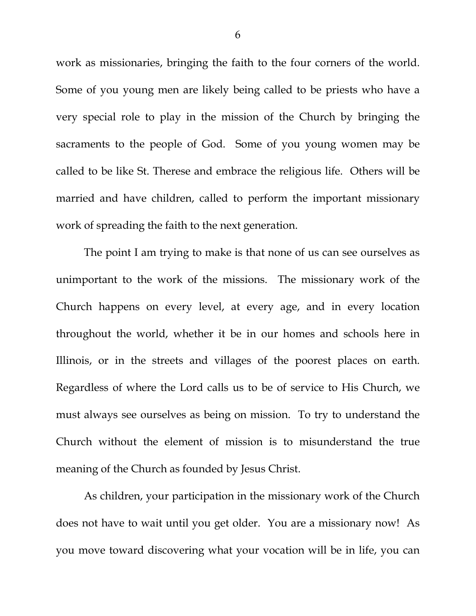work as missionaries, bringing the faith to the four corners of the world. Some of you young men are likely being called to be priests who have a very special role to play in the mission of the Church by bringing the sacraments to the people of God. Some of you young women may be called to be like St. Therese and embrace the religious life. Others will be married and have children, called to perform the important missionary work of spreading the faith to the next generation.

The point I am trying to make is that none of us can see ourselves as unimportant to the work of the missions. The missionary work of the Church happens on every level, at every age, and in every location throughout the world, whether it be in our homes and schools here in Illinois, or in the streets and villages of the poorest places on earth. Regardless of where the Lord calls us to be of service to His Church, we must always see ourselves as being on mission. To try to understand the Church without the element of mission is to misunderstand the true meaning of the Church as founded by Jesus Christ.

As children, your participation in the missionary work of the Church does not have to wait until you get older. You are a missionary now! As you move toward discovering what your vocation will be in life, you can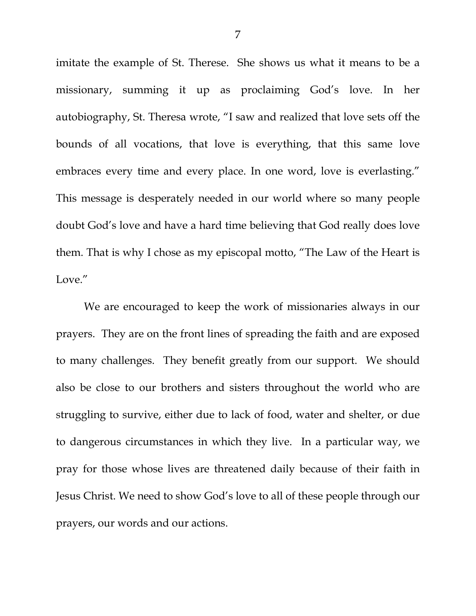imitate the example of St. Therese. She shows us what it means to be a missionary, summing it up as proclaiming God's love. In her autobiography, St. Theresa wrote, "I saw and realized that love sets off the bounds of all vocations, that love is everything, that this same love embraces every time and every place. In one word, love is everlasting." This message is desperately needed in our world where so many people doubt God's love and have a hard time believing that God really does love them. That is why I chose as my episcopal motto, "The Law of the Heart is Love."

We are encouraged to keep the work of missionaries always in our prayers. They are on the front lines of spreading the faith and are exposed to many challenges. They benefit greatly from our support. We should also be close to our brothers and sisters throughout the world who are struggling to survive, either due to lack of food, water and shelter, or due to dangerous circumstances in which they live. In a particular way, we pray for those whose lives are threatened daily because of their faith in Jesus Christ. We need to show God's love to all of these people through our prayers, our words and our actions.